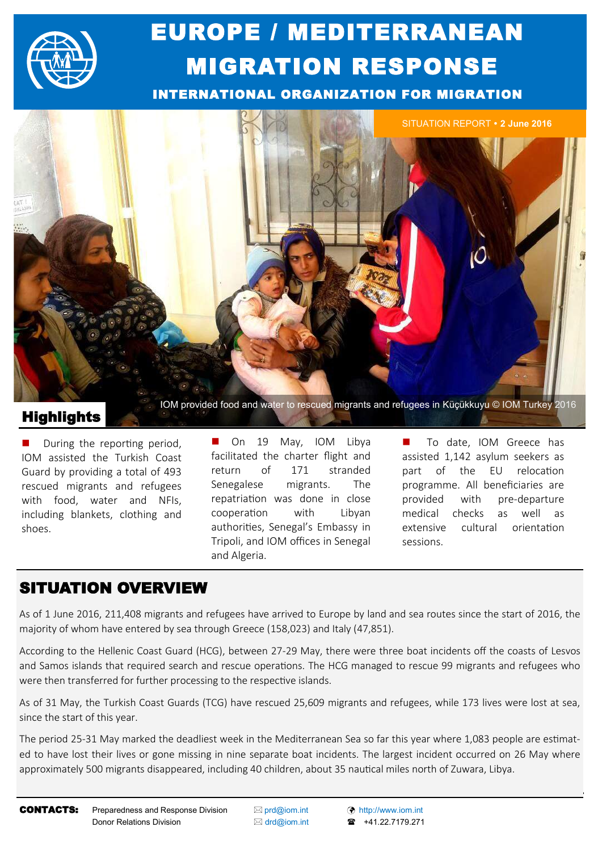

# EUROPE / MEDITERRANEAN MIGRATION RESPONSE

INTERNATIONAL ORGANIZATION FOR MIGRATION



**Highlights** 

 During the reporting period, IOM assisted the Turkish Coast Guard by providing a total of 493 rescued migrants and refugees with food, water and NFIs, including blankets, clothing and shoes.

On 19 May, IOM Libya facilitated the charter flight and return of 171 stranded Senegalese migrants. The repatriation was done in close cooperation with Libyan authorities, Senegal's Embassy in Tripoli, and IOM offices in Senegal and Algeria.

To date, IOM Greece has assisted 1,142 asylum seekers as part of the EU relocation programme. All beneficiaries are provided with pre-departure medical checks as well as extensive cultural orientation sessions.

# SITUATION OVERVIEW

As of 1 June 2016, 211,408 migrants and refugees have arrived to Europe by land and sea routes since the start of 2016, the majority of whom have entered by sea through Greece (158,023) and Italy (47,851).

According to the Hellenic Coast Guard (HCG), between 27-29 May, there were three boat incidents off the coasts of Lesvos and Samos islands that required search and rescue operations. The HCG managed to rescue 99 migrants and refugees who were then transferred for further processing to the respective islands.

As of 31 May, the Turkish Coast Guards (TCG) have rescued 25,609 migrants and refugees, while 173 lives were lost at sea, since the start of this year.

The period 25-31 May marked the deadliest week in the Mediterranean Sea so far this year where 1,083 people are estimated to have lost their lives or gone missing in nine separate boat incidents. The largest incident occurred on 26 May where approximately 500 migrants disappeared, including 40 children, about 35 nautical miles north of Zuwara, Libya.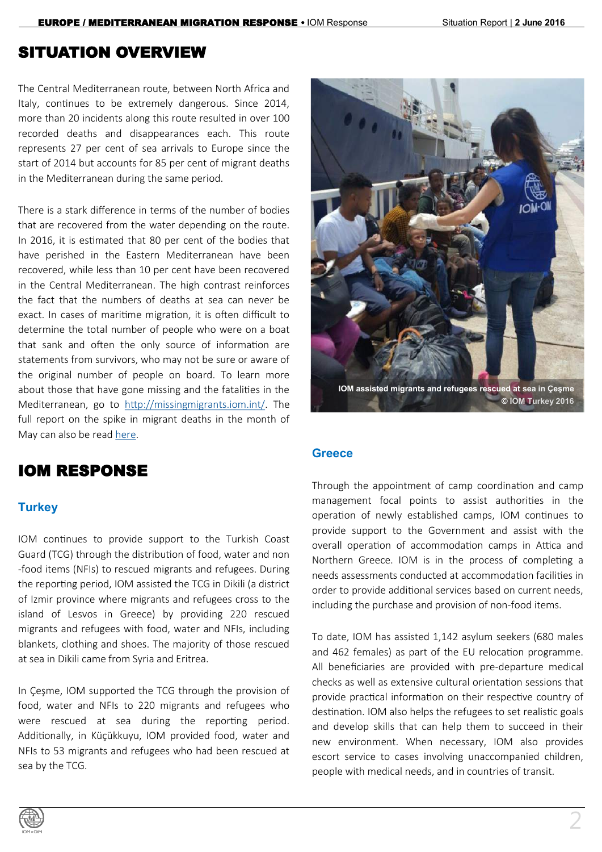#### SITUATION OVERVIEW

The Central Mediterranean route, between North Africa and Italy, continues to be extremely dangerous. Since 2014, more than 20 incidents along this route resulted in over 100 recorded deaths and disappearances each. This route represents 27 per cent of sea arrivals to Europe since the start of 2014 but accounts for 85 per cent of migrant deaths in the Mediterranean during the same period.

There is a stark difference in terms of the number of bodies that are recovered from the water depending on the route. In 2016, it is estimated that 80 per cent of the bodies that have perished in the Eastern Mediterranean have been recovered, while less than 10 per cent have been recovered in the Central Mediterranean. The high contrast reinforces the fact that the numbers of deaths at sea can never be exact. In cases of maritime migration, it is often difficult to determine the total number of people who were on a boat that sank and often the only source of information are statements from survivors, who may not be sure or aware of the original number of people on board. To learn more about those that have gone missing and the fatalities in the Mediterranean, go to [http://missingmigrants.iom.int/.](http://missingmigrants.iom.int/) The full report on the spike in migrant deaths in the month of May can also be read [here.](http://weblog.iom.int/mediterranean-migrant-deaths-spike-may)

# IOM RESPONSE

#### **Turkey**

IOM continues to provide support to the Turkish Coast Guard (TCG) through the distribution of food, water and non -food items (NFIs) to rescued migrants and refugees. During the reporting period, IOM assisted the TCG in Dikili (a district of Izmir province where migrants and refugees cross to the island of Lesvos in Greece) by providing 220 rescued migrants and refugees with food, water and NFIs, including blankets, clothing and shoes. The majority of those rescued at sea in Dikili came from Syria and Eritrea.

In Çeşme, IOM supported the TCG through the provision of food, water and NFIs to 220 migrants and refugees who were rescued at sea during the reporting period. Additionally, in Küçükkuyu, IOM provided food, water and NFIs to 53 migrants and refugees who had been rescued at sea by the TCG.



#### **Greece**

Through the appointment of camp coordination and camp management focal points to assist authorities in the operation of newly established camps, IOM continues to provide support to the Government and assist with the overall operation of accommodation camps in Attica and Northern Greece. IOM is in the process of completing a needs assessments conducted at accommodation facilities in order to provide additional services based on current needs, including the purchase and provision of non-food items.

To date, IOM has assisted 1,142 asylum seekers (680 males and 462 females) as part of the EU relocation programme. All beneficiaries are provided with pre-departure medical checks as well as extensive cultural orientation sessions that provide practical information on their respective country of destination. IOM also helps the refugees to set realistic goals and develop skills that can help them to succeed in their new environment. When necessary, IOM also provides escort service to cases involving unaccompanied children, people with medical needs, and in countries of transit.

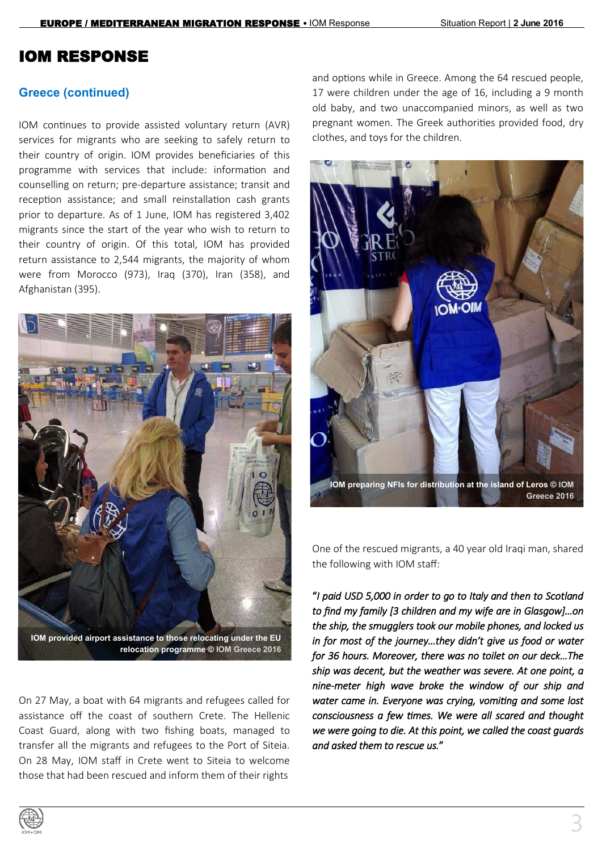#### **Greece (continued)**

IOM continues to provide assisted voluntary return (AVR) services for migrants who are seeking to safely return to their country of origin. IOM provides beneficiaries of this programme with services that include: information and counselling on return; pre-departure assistance; transit and reception assistance; and small reinstallation cash grants prior to departure. As of 1 June, IOM has registered 3,402 migrants since the start of the year who wish to return to their country of origin. Of this total, IOM has provided return assistance to 2,544 migrants, the majority of whom were from Morocco (973), Iraq (370), Iran (358), and Afghanistan (395).



**IOM provided airport assistance to those relocating under the EU relocation programme © IOM Greece 2016**

On 27 May, a boat with 64 migrants and refugees called for assistance off the coast of southern Crete. The Hellenic Coast Guard, along with two fishing boats, managed to transfer all the migrants and refugees to the Port of Siteia. On 28 May, IOM staff in Crete went to Siteia to welcome those that had been rescued and inform them of their rights

and options while in Greece. Among the 64 rescued people, 17 were children under the age of 16, including a 9 month old baby, and two unaccompanied minors, as well as two pregnant women. The Greek authorities provided food, dry clothes, and toys for the children.



**IOM preparing NFIs for distribution at the island of Leros © IOM Greece 2016**

One of the rescued migrants, a 40 year old Iraqi man, shared the following with IOM staff:

"*I paid USD 5,000 in order to go to Italy and then to Scotland to find my family [3 children and my wife are in Glasgow]…on the ship, the smugglers took our mobile phones, and locked us in for most of the journey…they didn't give us food or water for 36 hours. Moreover, there was no toilet on our deck…The ship was decent, but the weather was severe. At one point, a nine-meter high wave broke the window of our ship and water came in. Everyone was crying, vomiting and some lost consciousness a few times. We were all scared and thought we were going to die. At this point, we called the coast guards and asked them to rescue us.*"

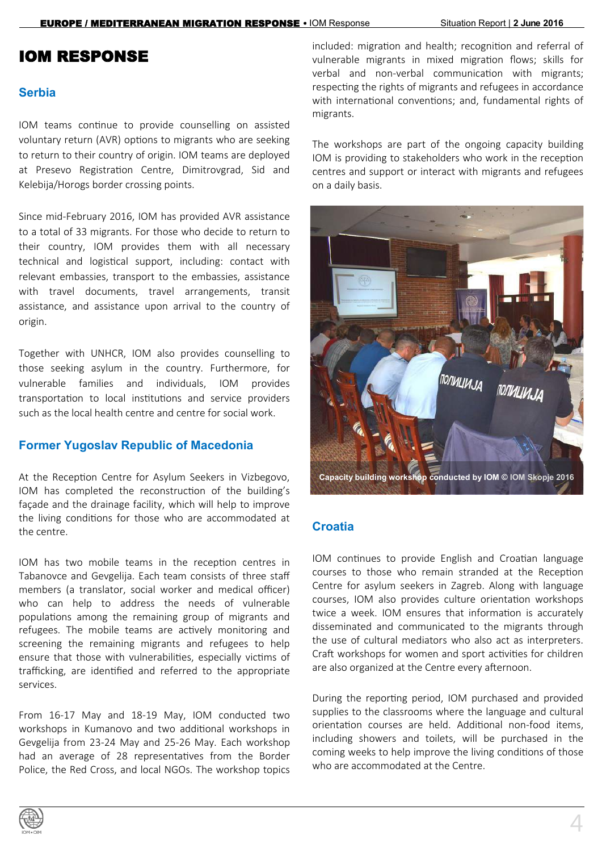#### **Serbia**

IOM teams continue to provide counselling on assisted voluntary return (AVR) options to migrants who are seeking to return to their country of origin. IOM teams are deployed at Presevo Registration Centre, Dimitrovgrad, Sid and Kelebija/Horogs border crossing points.

Since mid-February 2016, IOM has provided AVR assistance to a total of 33 migrants. For those who decide to return to their country, IOM provides them with all necessary technical and logistical support, including: contact with relevant embassies, transport to the embassies, assistance with travel documents, travel arrangements, transit assistance, and assistance upon arrival to the country of origin.

Together with UNHCR, IOM also provides counselling to those seeking asylum in the country. Furthermore, for vulnerable families and individuals, IOM provides transportation to local institutions and service providers such as the local health centre and centre for social work.

#### **Former Yugoslav Republic of Macedonia**

At the Reception Centre for Asylum Seekers in Vizbegovo, IOM has completed the reconstruction of the building's façade and the drainage facility, which will help to improve the living conditions for those who are accommodated at the centre.

IOM has two mobile teams in the reception centres in Tabanovce and Gevgelija. Each team consists of three staff members (a translator, social worker and medical officer) who can help to address the needs of vulnerable populations among the remaining group of migrants and refugees. The mobile teams are actively monitoring and screening the remaining migrants and refugees to help ensure that those with vulnerabilities, especially victims of trafficking, are identified and referred to the appropriate services.

From 16-17 May and 18-19 May, IOM conducted two workshops in Kumanovo and two additional workshops in Gevgelija from 23-24 May and 25-26 May. Each workshop had an average of 28 representatives from the Border Police, the Red Cross, and local NGOs. The workshop topics

included: migration and health; recognition and referral of vulnerable migrants in mixed migration flows; skills for verbal and non-verbal communication with migrants; respecting the rights of migrants and refugees in accordance with international conventions; and, fundamental rights of migrants.

The workshops are part of the ongoing capacity building IOM is providing to stakeholders who work in the reception centres and support or interact with migrants and refugees on a daily basis.



#### **Croatia**

IOM continues to provide English and Croatian language courses to those who remain stranded at the Reception Centre for asylum seekers in Zagreb. Along with language courses, IOM also provides culture orientation workshops twice a week. IOM ensures that information is accurately disseminated and communicated to the migrants through the use of cultural mediators who also act as interpreters. Craft workshops for women and sport activities for children are also organized at the Centre every afternoon.

During the reporting period, IOM purchased and provided supplies to the classrooms where the language and cultural orientation courses are held. Additional non-food items, including showers and toilets, will be purchased in the coming weeks to help improve the living conditions of those who are accommodated at the Centre.

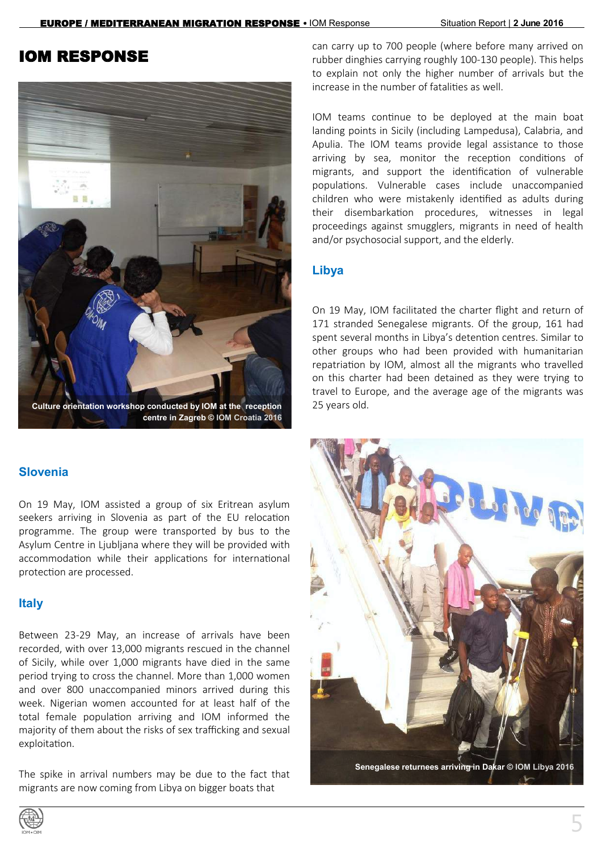

#### **Slovenia**

On 19 May, IOM assisted a group of six Eritrean asylum seekers arriving in Slovenia as part of the EU relocation programme. The group were transported by bus to the Asylum Centre in Ljubljana where they will be provided with accommodation while their applications for international protection are processed.

#### **Italy**

Between 23-29 May, an increase of arrivals have been recorded, with over 13,000 migrants rescued in the channel of Sicily, while over 1,000 migrants have died in the same period trying to cross the channel. More than 1,000 women and over 800 unaccompanied minors arrived during this week. Nigerian women accounted for at least half of the total female population arriving and IOM informed the majority of them about the risks of sex trafficking and sexual exploitation.

The spike in arrival numbers may be due to the fact that migrants are now coming from Libya on bigger boats that

can carry up to 700 people (where before many arrived on rubber dinghies carrying roughly 100-130 people). This helps to explain not only the higher number of arrivals but the increase in the number of fatalities as well.

IOM teams continue to be deployed at the main boat landing points in Sicily (including Lampedusa), Calabria, and Apulia. The IOM teams provide legal assistance to those arriving by sea, monitor the reception conditions of migrants, and support the identification of vulnerable populations. Vulnerable cases include unaccompanied children who were mistakenly identified as adults during their disembarkation procedures, witnesses in legal proceedings against smugglers, migrants in need of health and/or psychosocial support, and the elderly.

#### **Libya**

On 19 May, IOM facilitated the charter flight and return of 171 stranded Senegalese migrants. Of the group, 161 had spent several months in Libya's detention centres. Similar to other groups who had been provided with humanitarian repatriation by IOM, almost all the migrants who travelled on this charter had been detained as they were trying to travel to Europe, and the average age of the migrants was 25 years old.



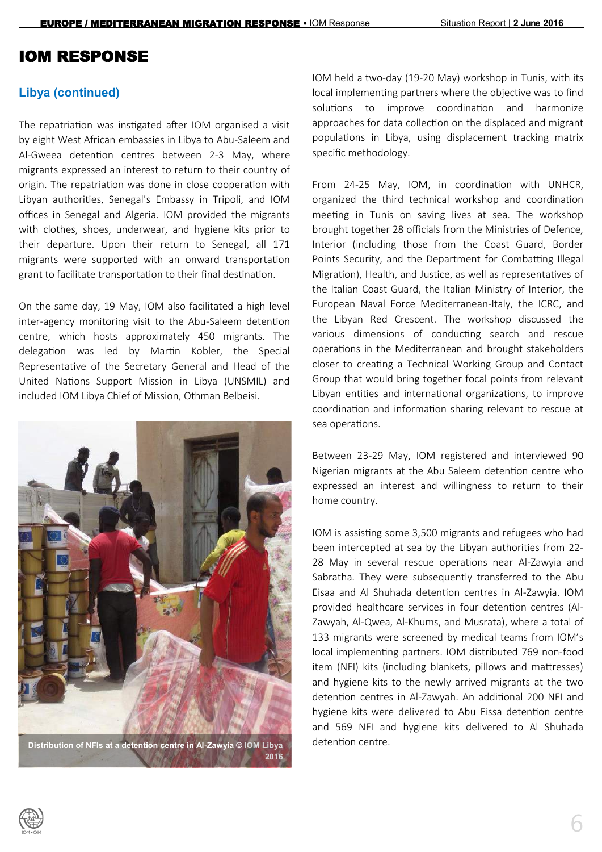#### **Libya (continued)**

The repatriation was instigated after IOM organised a visit by eight West African embassies in Libya to Abu-Saleem and Al-Gweea detention centres between 2-3 May, where migrants expressed an interest to return to their country of origin. The repatriation was done in close cooperation with Libyan authorities, Senegal's Embassy in Tripoli, and IOM offices in Senegal and Algeria. IOM provided the migrants with clothes, shoes, underwear, and hygiene kits prior to their departure. Upon their return to Senegal, all 171 migrants were supported with an onward transportation grant to facilitate transportation to their final destination.

On the same day, 19 May, IOM also facilitated a high level inter-agency monitoring visit to the Abu-Saleem detention centre, which hosts approximately 450 migrants. The delegation was led by Martin Kobler, the Special Representative of the Secretary General and Head of the United Nations Support Mission in Libya (UNSMIL) and included IOM Libya Chief of Mission, Othman Belbeisi.



**Distribution of NFIs at a detention centre in Al-Zawyia © IOM Libya 2016** IOM held a two-day (19-20 May) workshop in Tunis, with its local implementing partners where the objective was to find solutions to improve coordination and harmonize approaches for data collection on the displaced and migrant populations in Libya, using displacement tracking matrix specific methodology.

From 24-25 May, IOM, in coordination with UNHCR, organized the third technical workshop and coordination meeting in Tunis on saving lives at sea. The workshop brought together 28 officials from the Ministries of Defence, Interior (including those from the Coast Guard, Border Points Security, and the Department for Combatting Illegal Migration), Health, and Justice, as well as representatives of the Italian Coast Guard, the Italian Ministry of Interior, the European Naval Force Mediterranean-Italy, the ICRC, and the Libyan Red Crescent. The workshop discussed the various dimensions of conducting search and rescue operations in the Mediterranean and brought stakeholders closer to creating a Technical Working Group and Contact Group that would bring together focal points from relevant Libyan entities and international organizations, to improve coordination and information sharing relevant to rescue at sea operations.

Between 23-29 May, IOM registered and interviewed 90 Nigerian migrants at the Abu Saleem detention centre who expressed an interest and willingness to return to their home country.

IOM is assisting some 3,500 migrants and refugees who had been intercepted at sea by the Libyan authorities from 22- 28 May in several rescue operations near Al-Zawyia and Sabratha. They were subsequently transferred to the Abu Eisaa and Al Shuhada detention centres in Al-Zawyia. IOM provided healthcare services in four detention centres (Al-Zawyah, Al-Qwea, Al-Khums, and Musrata), where a total of 133 migrants were screened by medical teams from IOM's local implementing partners. IOM distributed 769 non-food item (NFI) kits (including blankets, pillows and mattresses) and hygiene kits to the newly arrived migrants at the two detention centres in Al-Zawyah. An additional 200 NFI and hygiene kits were delivered to Abu Eissa detention centre and 569 NFI and hygiene kits delivered to Al Shuhada detention centre.

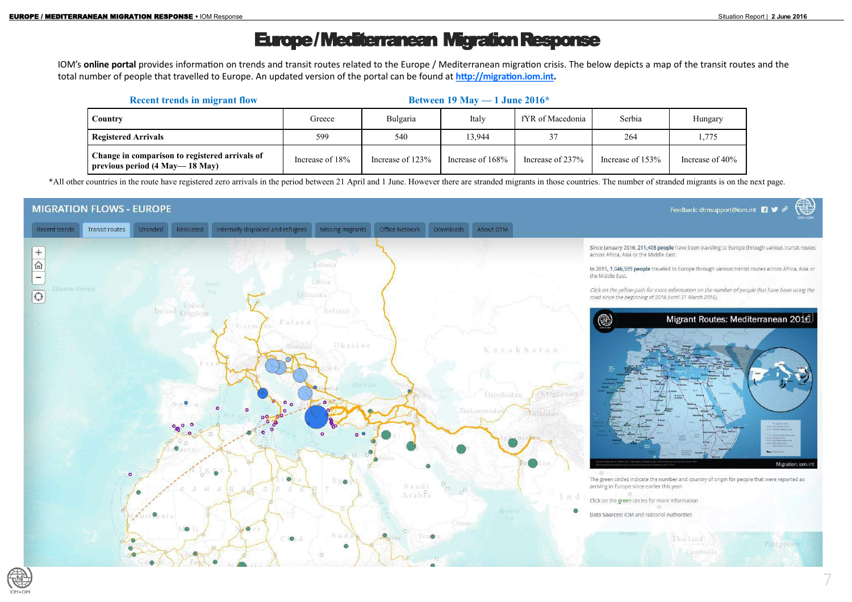# Europe / Mediterranean Migration Response

IOM's **online portal** provides information on trends and transit routes related to the Europe / Mediterranean migration crisis. The below depicts a map of the transit routes and the total number of people that travelled to Europe. An updated version of the portal can be found at **[http://migration.iom.int.](http://migration.iom.int)** 

\*All other countries in the route have registered zero arrivals in the period between 21 April and 1 June. However there are stranded migrants in those countries. The number of stranded migrants is on the next page.





|  | <b>Recent trends in migrant flow</b>                                                   | Between 19 May $-1$ June 2016* |                  |                     |                  |                  |                    |  |
|--|----------------------------------------------------------------------------------------|--------------------------------|------------------|---------------------|------------------|------------------|--------------------|--|
|  | Country                                                                                | Greece                         | Bulgaria         | Italy               | fYR of Macedonia | Serbia           | Hungary            |  |
|  | <b>Registered Arrivals</b>                                                             | 599                            | 540              | 13,944              |                  | 264              | 1,775              |  |
|  | Change in comparison to registered arrivals of<br>previous period $(4$ May $- 18$ May) | Increase of 18%                | Increase of 123% | Increase of $168\%$ | Increase of 237% | Increase of 153% | Increase of $40\%$ |  |